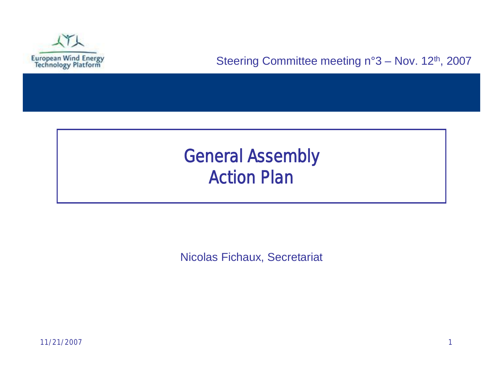

## General Assembly *Action Plan*

Nicolas Fichaux, Secretariat

11/21/2007 1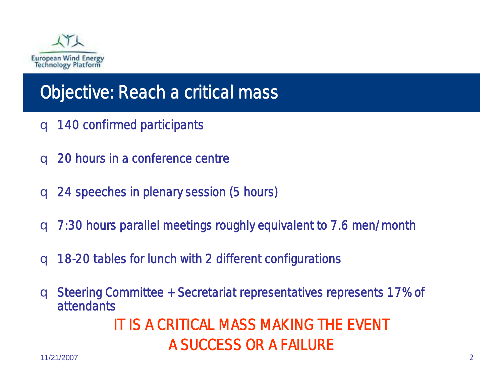

## Objective: Reach a critical mass

- q 140 confirmed participants
- q 20 hours in a conference centre
- q 24 speeches in plenary session (5 hours)
- q 7:30 hours parallel meetings roughly equivalent to 7.6 men/month
- q 18-20 tables for lunch with 2 different configurations
- q Steering Committee + Secretariat representatives represents 17% of attendants IT IS A CRITICAL MASS MAKING THE EVENT A SUCCESS OR A FAILURE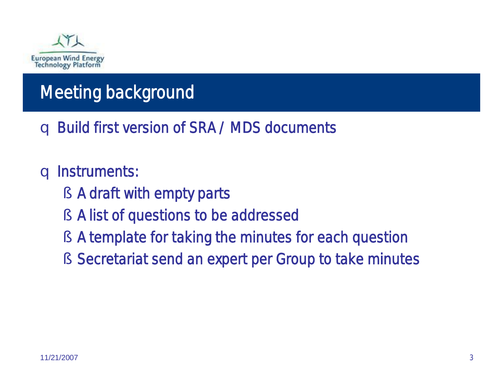

# Meeting background

q Build first version of SRA / MDS documents

### q Instruments:

- § A draft with empty parts
- § A list of questions to be addressed
- § A template for taking the minutes for each question
- § Secretariat send an expert per Group to take minutes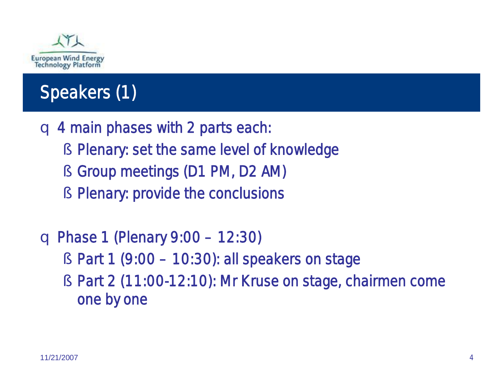

# Speakers (1)

q 4 main phases with 2 parts each:

- § Plenary: set the same level of knowledge
- § Group meetings (D1 PM, D2 AM)
- § Plenary: provide the conclusions

q Phase 1 *(Plenary 9:00 –12:30)*

- § Part 1 *(9:00 –10:30)*: all speakers on stage
- § Part 2 *(11:00-12:10):* Mr Kruse on stage, chairmen come one by one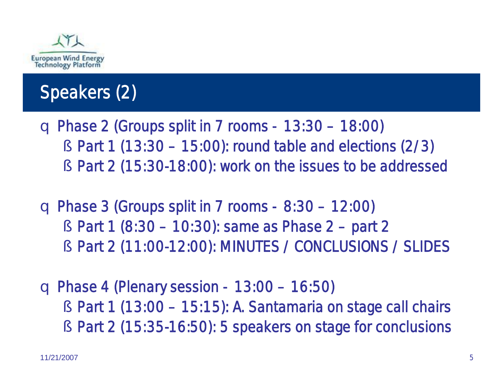

# Speakers (2)

- q Phase 2 *(Groups split in 7 rooms 13:30 –18:00)* § Part 1 *(13:30 –15:00)*: round table and elections (2/3)
	- § Part 2 *(15:30-18:00):* work on the issues to be addressed
- q Phase 3 *(Groups split in 7 rooms 8:30 –12:00)* § Part 1 *(8:30 –10:30)*: same as Phase 2 –part 2 § Part 2 *(11:00-12:00):* MINUTES / CONCLUSIONS / SLIDES
- q Phase 4 *(Plenary session 13:00 –16:50)* § Part 1 *(13:00 –15:15)*: A. Santamaria on stage call chairs § Part 2 *(15:35-16:50):* 5 speakers on stage for conclusions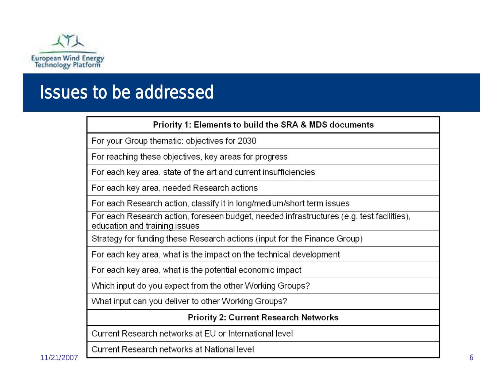

### Issues to be addressed

#### Priority 1: Elements to build the SRA & MDS documents

For your Group thematic: objectives for 2030

For reaching these objectives, key areas for progress

For each key area, state of the art and current insufficiencies

For each key area, needed Research actions

For each Research action, classify it in long/medium/short term issues

For each Research action, foreseen budget, needed infrastructures (e.g. test facilities), education and training issues

Strategy for funding these Research actions (input for the Finance Group)

For each key area, what is the impact on the technical development

For each key area, what is the potential economic impact

Which input do you expect from the other Working Groups?

What input can you deliver to other Working Groups?

#### **Priority 2: Current Research Networks**

Current Research networks at EU or International level

Current Research networks at National level

11/21/2007 6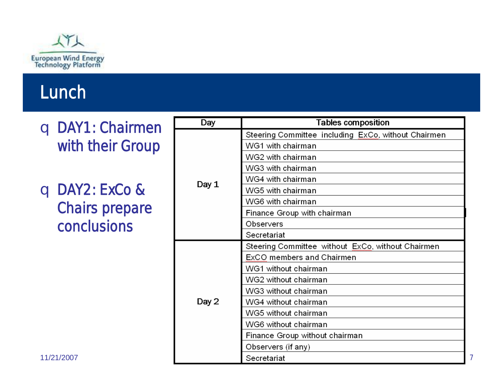

## Lunch

q DAY1: Chairmen with their Group

q DAY2: ExCo & Chairs prepare conclusions

| Day   | <b>Tables composition</b>                           |
|-------|-----------------------------------------------------|
|       | Steering Committee including ExCo, without Chairmen |
|       | WG1 with chairman                                   |
|       | WG2 with chairman                                   |
|       | WG3 with chairman                                   |
| Day 1 | WG4 with chairman                                   |
|       | WG5 with chairman                                   |
|       | WG6 with chairman                                   |
|       | Finance Group with chairman                         |
|       | Observers                                           |
|       | Secretariat                                         |
|       | Steering Committee without ExCo, without Chairmen   |
|       | ExCO members and Chairmen                           |
|       | WG1 without chairman                                |
|       | WG2 without chairman                                |
|       | WG3 without chairman                                |
| Day 2 | WG4 without chairman                                |
|       | WG5 without chairman                                |
|       | WG6 without chairman                                |
|       | Finance Group without chairman                      |
|       | Observers (if any)                                  |
|       | Secretariat                                         |